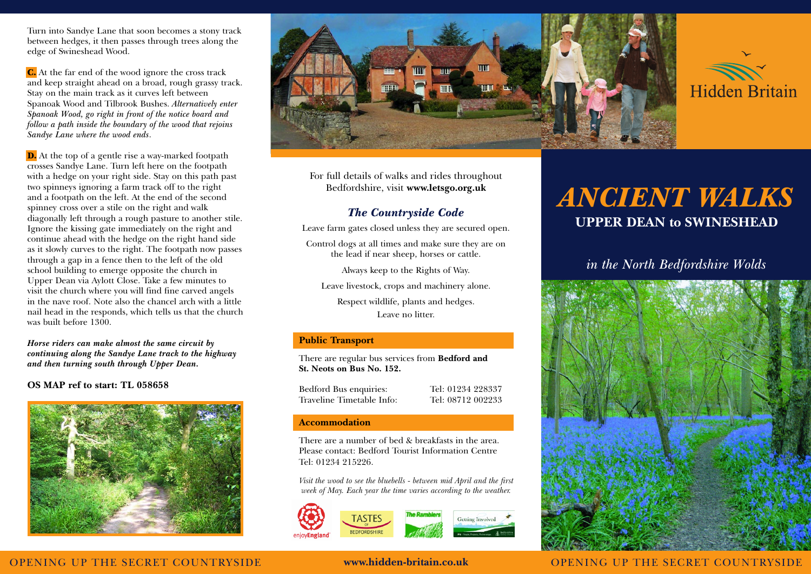Turn into Sandye Lane that soon becomes a stony track between hedges, it then passes through trees along the edge of Swineshead Wood.

C. At the far end of the wood ignore the cross track and keep straight ahead on a broad, rough grassy track. Stay on the main track as it curves left between Spanoak Wood and Tilbrook Bushes. *Alternatively enter Spanoak Wood, go right in front of the notice board and follow a path inside the boundary of the wood that rejoins Sandye Lane where the wood ends*.

D. At the top of a gentle rise a way-marked footpath crosses Sandye Lane. Turn left here on the footpath with a hedge on your right side. Stay on this path past two spinneys ignoring a farm track off to the right and a footpath on the left. At the end of the second spinney cross over a stile on the right and walk diagonally left through a rough pasture to another stile. Ignore the kissing gate immediately on the right and continue ahead with the hedge on the right hand side as it slowly curves to the right. The footpath now passes through a gap in a fence then to the left of the old school building to emerge opposite the church in Upper Dean via Aylott Close. Take a few minutes to visit the church where you will find fine carved angels in the nave roof. Note also the chancel arch with a little nail head in the responds, which tells us that the church was built before 1300.

*Horse riders can make almost the same circuit by continuing along the Sandye Lane track to the highway and then turning south through Upper Dean.*

## **OS MAP ref to start: TL 058658**





For full details of walks and rides throughout Bedfordshire, visit **www.letsgo.org.uk**

## *The Countryside Code*

Leave farm gates closed unless they are secured open.

Control dogs at all times and make sure they are on the lead if near sheep, horses or cattle.

Always keep to the Rights of Way.

Leave livestock, crops and machinery alone.

Respect wildlife, plants and hedges. Leave no litter.

## **Public Transport**

There are regular bus services from **Bedford and St. Neots on Bus No. 152.**

Bedford Bus enquiries: Tel: 01234 228337 Traveline Timetable Info: Tel: 08712 002233

## **Accommodation**

There are a number of bed & breakfasts in the area. Please contact: Bedford Tourist Information Centre Tel: 01234 215226.

*Visit the wood to see the bluebells - between mid April and the first week of May. Each year the time varies according to the weather.*



# *ANCIENT WALKS* **UPPER DEAN to SWINESHEAD**

# *in the North Bedfordshire Wolds*



OPENING UP THE SECRET COUNTRYSIDE **www.hidden-britain.co.uk** OPENING UP THE SECRET COUNTRYSIDE